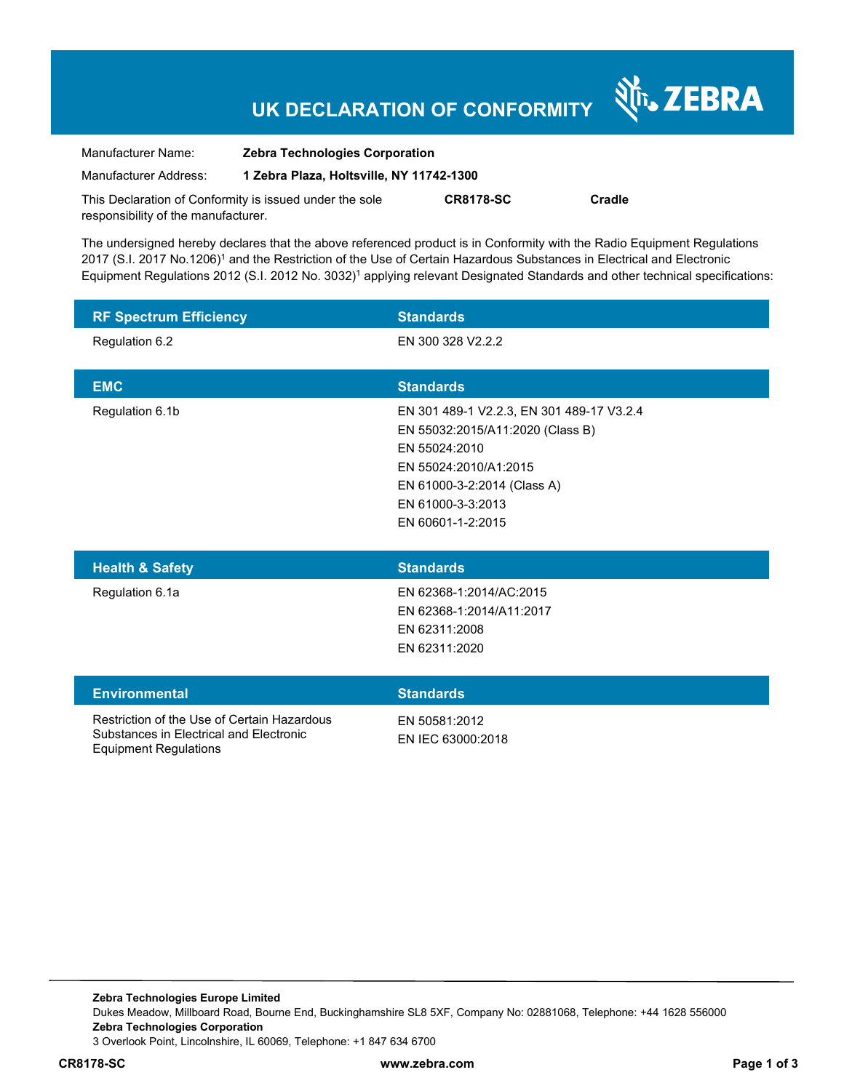# **UK DECLARATION OF CONFORMITY**

Nr. ZEBRA

| Manufacturer Name:                                      | <b>Zebra Technologies Corporation</b>    |                  |        |  |
|---------------------------------------------------------|------------------------------------------|------------------|--------|--|
| Manufacturer Address:                                   | 1 Zebra Plaza, Holtsville, NY 11742-1300 |                  |        |  |
| This Declaration of Conformity is issued under the sole |                                          | <b>CR8178-SC</b> | Cradle |  |
| responsibility of the manufacturer.                     |                                          |                  |        |  |

The undersigned hereby declares that the above referenced product is in Conformity with the Radio Equipment Regulations 2017 (S.I. 2017 No.1206)<sup>1</sup> and the Restriction of the Use of Certain Hazardous Substances in Electrical and Electronic Equipment Regulations 2012 (S.I. 2012 No. 3032)<sup>1</sup> applying relevant Designated Standards and other technical specifications:

| <b>RF Spectrum Efficiency</b>                                                                                          | <b>Standards</b>                                                                                                                                                                                 |
|------------------------------------------------------------------------------------------------------------------------|--------------------------------------------------------------------------------------------------------------------------------------------------------------------------------------------------|
| Regulation 6.2                                                                                                         | EN 300 328 V2.2.2                                                                                                                                                                                |
| <b>EMC</b>                                                                                                             | <b>Standards</b>                                                                                                                                                                                 |
| Regulation 6.1b                                                                                                        | EN 301 489-1 V2.2.3, EN 301 489-17 V3.2.4<br>EN 55032:2015/A11:2020 (Class B)<br>EN 55024:2010<br>EN 55024:2010/A1:2015<br>EN 61000-3-2:2014 (Class A)<br>EN 61000-3-3:2013<br>EN 60601-1-2:2015 |
| <b>Health &amp; Safety</b>                                                                                             | <b>Standards</b>                                                                                                                                                                                 |
| Regulation 6.1a                                                                                                        | EN 62368-1:2014/AC:2015<br>EN 62368-1:2014/A11:2017<br>EN 62311:2008<br>EN 62311:2020                                                                                                            |
| <b>Environmental</b>                                                                                                   | <b>Standards</b>                                                                                                                                                                                 |
| Restriction of the Use of Certain Hazardous<br>Substances in Electrical and Electronic<br><b>Equipment Regulations</b> | EN 50581:2012<br>EN IEC 63000:2018                                                                                                                                                               |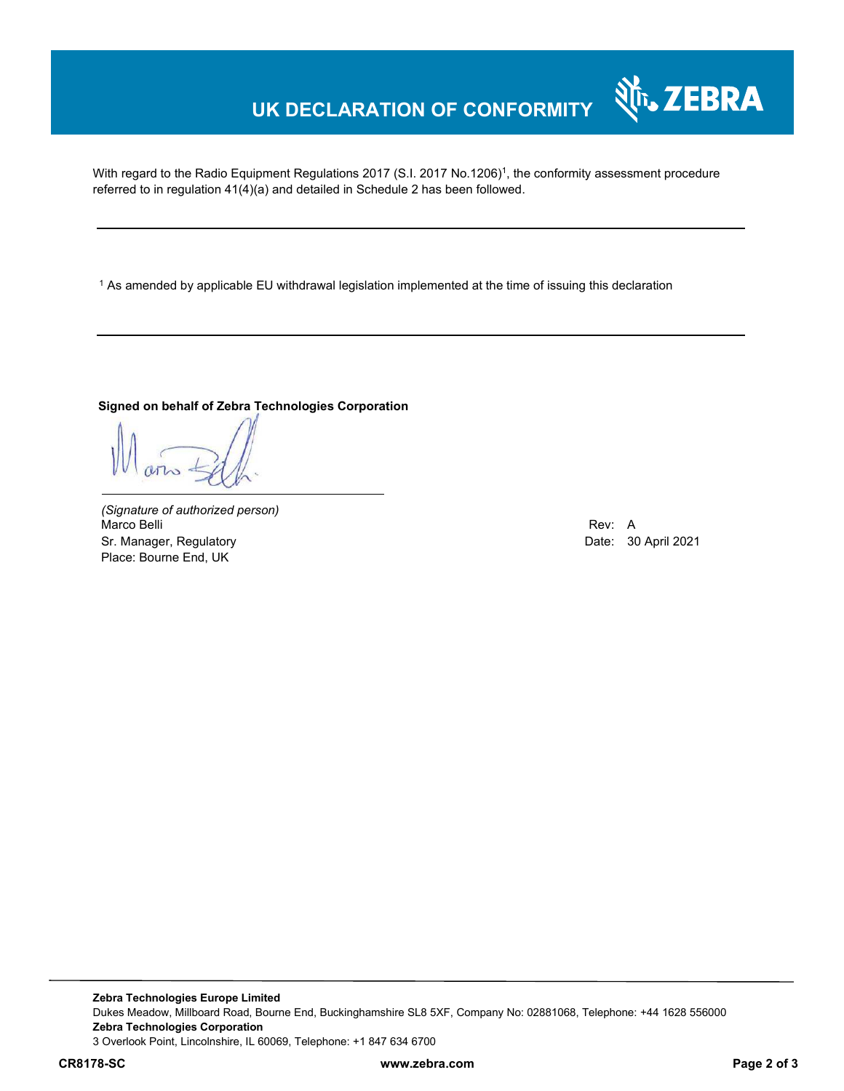## **UK DECLARATION OF CONFORMITY**

With regard to the Radio Equipment Regulations 2017 (S.I. 2017 No.1206)<sup>1</sup>, the conformity assessment procedure referred to in regulation 41(4)(a) and detailed in Schedule 2 has been followed.

1 As amended by applicable EU withdrawal legislation implemented at the time of issuing this declaration

#### **Signed on behalf of Zebra Technologies Corporation**

*(Signature of authorized person)* Marco Belli Rev: A Alexander Communication of the Communication of the Communication of the Communication of the Communication of the Communication of the Communication of the Communication of the Communication of the Comm Sr. Manager, Regulatory **Date: 30 April 2021** Place: Bourne End, UK

र्शे<sub>ि</sub> ZEBRA